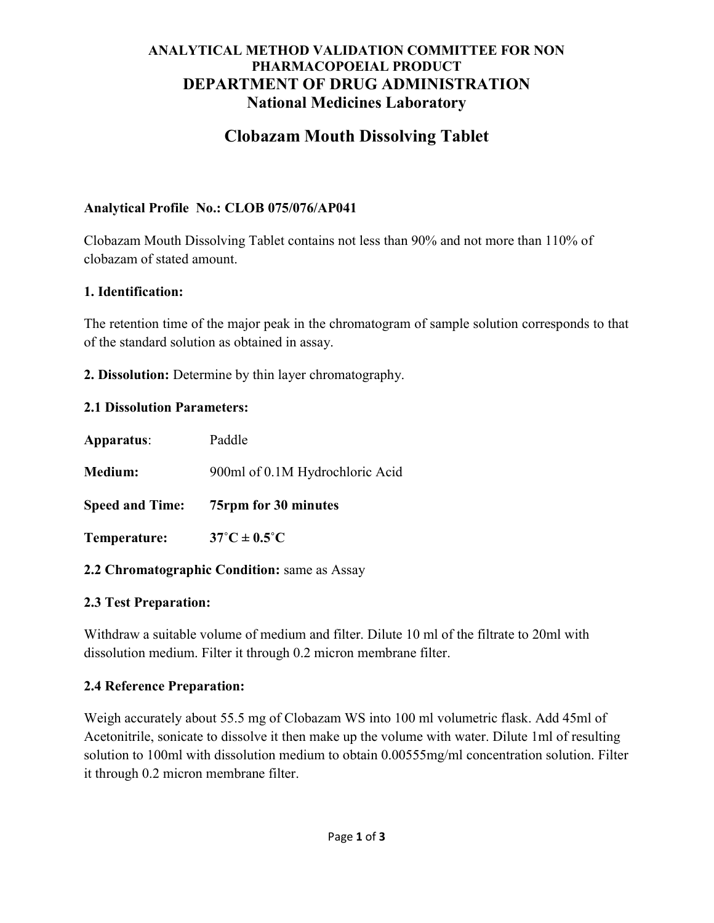## ANALYTICAL METHOD VALIDATION COMMITTEE FOR NON PHARMACOPOEIAL PRODUCT DEPARTMENT OF DRUG ADMINISTRATION National Medicines Laboratory

# Clobazam Mouth Dissolving Tablet

## Analytical Profile No.: CLOB 075/076/AP041

Clobazam Mouth Dissolving Tablet contains not less than 90% and not more than 110% of clobazam of stated amount.

#### 1. Identification:

The retention time of the major peak in the chromatogram of sample solution corresponds to that of the standard solution as obtained in assay.

2. Dissolution: Determine by thin layer chromatography.

## 2.1 Dissolution Parameters:

| Apparatus:             | Paddle                          |
|------------------------|---------------------------------|
| <b>Medium:</b>         | 900ml of 0.1M Hydrochloric Acid |
| <b>Speed and Time:</b> | 75rpm for 30 minutes            |
| Temperature:           | $37^{\circ}$ C ± 0.5°C          |
|                        |                                 |

#### 2.2 Chromatographic Condition: same as Assay

# 2.3 Test Preparation:

Withdraw a suitable volume of medium and filter. Dilute 10 ml of the filtrate to 20ml with dissolution medium. Filter it through 0.2 micron membrane filter.

# 2.4 Reference Preparation:

Weigh accurately about 55.5 mg of Clobazam WS into 100 ml volumetric flask. Add 45ml of Acetonitrile, sonicate to dissolve it then make up the volume with water. Dilute 1ml of resulting solution to 100ml with dissolution medium to obtain 0.00555mg/ml concentration solution. Filter it through 0.2 micron membrane filter.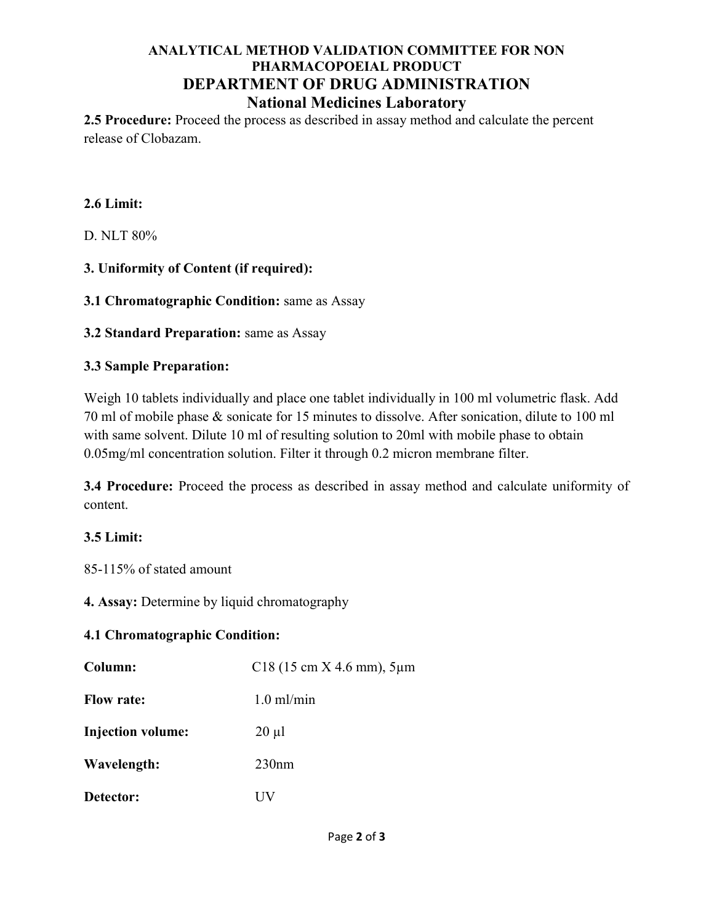### ANALYTICAL METHOD VALIDATION COMMITTEE FOR NON PHARMACOPOEIAL PRODUCT DEPARTMENT OF DRUG ADMINISTRATION National Medicines Laboratory

2.5 Procedure: Proceed the process as described in assay method and calculate the percent release of Clobazam.

#### 2.6 Limit:

D. NLT 80%

3. Uniformity of Content (if required):

3.1 Chromatographic Condition: same as Assay

3.2 Standard Preparation: same as Assay

## 3.3 Sample Preparation:

Weigh 10 tablets individually and place one tablet individually in 100 ml volumetric flask. Add 70 ml of mobile phase & sonicate for 15 minutes to dissolve. After sonication, dilute to 100 ml with same solvent. Dilute 10 ml of resulting solution to 20ml with mobile phase to obtain 0.05mg/ml concentration solution. Filter it through 0.2 micron membrane filter.

3.4 Procedure: Proceed the process as described in assay method and calculate uniformity of content.

# 3.5 Limit:

85-115% of stated amount

4. Assay: Determine by liquid chromatography

#### 4.1 Chromatographic Condition:

| Column:                  | $C18(15 \text{ cm X } 4.6 \text{ mm}), 5 \mu m$ |
|--------------------------|-------------------------------------------------|
| <b>Flow rate:</b>        | $1.0 \text{ m}$ /min                            |
| <b>Injection volume:</b> | $20 \mu l$                                      |
| Wavelength:              | 230nm                                           |
| Detector:                | НV                                              |